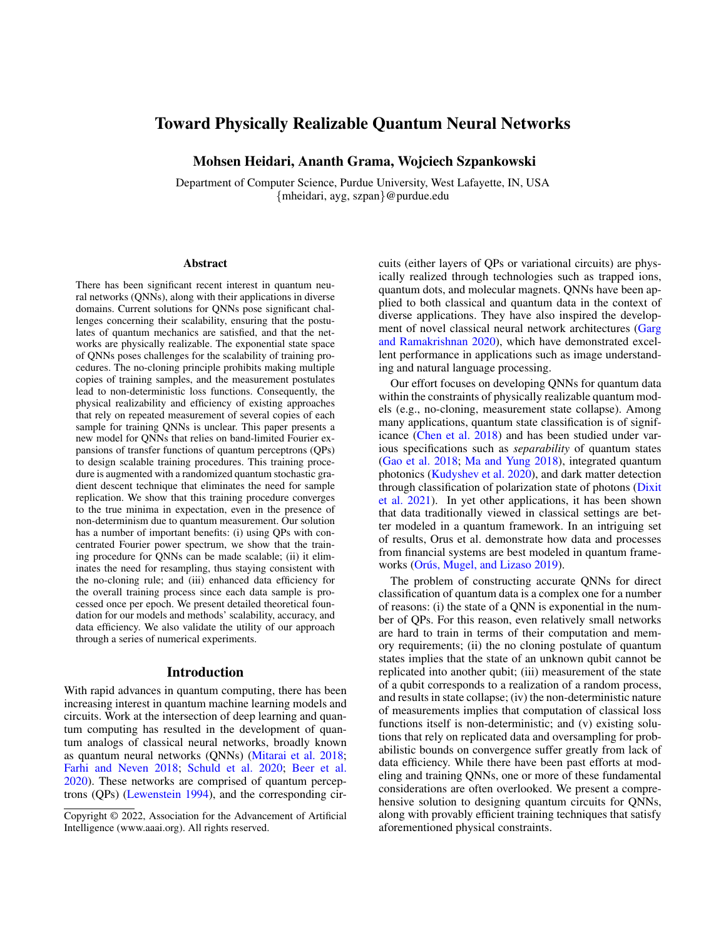# Toward Physically Realizable Quantum Neural Networks

Mohsen Heidari, Ananth Grama, Wojciech Szpankowski

Department of Computer Science, Purdue University, West Lafayette, IN, USA {mheidari, ayg, szpan}@purdue.edu

#### **Abstract**

There has been significant recent interest in quantum neural networks (QNNs), along with their applications in diverse domains. Current solutions for QNNs pose significant challenges concerning their scalability, ensuring that the postulates of quantum mechanics are satisfied, and that the networks are physically realizable. The exponential state space of QNNs poses challenges for the scalability of training procedures. The no-cloning principle prohibits making multiple copies of training samples, and the measurement postulates lead to non-deterministic loss functions. Consequently, the physical realizability and efficiency of existing approaches that rely on repeated measurement of several copies of each sample for training QNNs is unclear. This paper presents a new model for QNNs that relies on band-limited Fourier expansions of transfer functions of quantum perceptrons (QPs) to design scalable training procedures. This training procedure is augmented with a randomized quantum stochastic gradient descent technique that eliminates the need for sample replication. We show that this training procedure converges to the true minima in expectation, even in the presence of non-determinism due to quantum measurement. Our solution has a number of important benefits: (i) using QPs with concentrated Fourier power spectrum, we show that the training procedure for QNNs can be made scalable; (ii) it eliminates the need for resampling, thus staying consistent with the no-cloning rule; and (iii) enhanced data efficiency for the overall training process since each data sample is processed once per epoch. We present detailed theoretical foundation for our models and methods' scalability, accuracy, and data efficiency. We also validate the utility of our approach through a series of numerical experiments.

#### Introduction

With rapid advances in quantum computing, there has been increasing interest in quantum machine learning models and circuits. Work at the intersection of deep learning and quantum computing has resulted in the development of quantum analogs of classical neural networks, broadly known as quantum neural networks (QNNs) [\(Mitarai et al.](#page-7-0) [2018;](#page-7-0) [Farhi and Neven](#page-7-1) [2018;](#page-7-1) [Schuld et al.](#page-7-2) [2020;](#page-7-2) [Beer et al.](#page-7-3) [2020\)](#page-7-3). These networks are comprised of quantum perceptrons (QPs) [\(Lewenstein](#page-7-4) [1994\)](#page-7-4), and the corresponding circuits (either layers of QPs or variational circuits) are physically realized through technologies such as trapped ions, quantum dots, and molecular magnets. QNNs have been applied to both classical and quantum data in the context of diverse applications. They have also inspired the development of novel classical neural network architectures [\(Garg](#page-7-5) [and Ramakrishnan](#page-7-5) [2020\)](#page-7-5), which have demonstrated excellent performance in applications such as image understanding and natural language processing.

Our effort focuses on developing QNNs for quantum data within the constraints of physically realizable quantum models (e.g., no-cloning, measurement state collapse). Among many applications, quantum state classification is of significance [\(Chen et al.](#page-7-6) [2018\)](#page-7-6) and has been studied under various specifications such as *separability* of quantum states [\(Gao et al.](#page-7-7) [2018;](#page-7-7) [Ma and Yung](#page-7-8) [2018\)](#page-7-8), integrated quantum photonics [\(Kudyshev et al.](#page-7-9) [2020\)](#page-7-9), and dark matter detection through classification of polarization state of photons [\(Dixit](#page-7-10) [et al.](#page-7-10) [2021\)](#page-7-10). In yet other applications, it has been shown that data traditionally viewed in classical settings are better modeled in a quantum framework. In an intriguing set of results, Orus et al. demonstrate how data and processes from financial systems are best modeled in quantum frame-works (Orús, Mugel, and Lizaso [2019\)](#page-7-11).

The problem of constructing accurate QNNs for direct classification of quantum data is a complex one for a number of reasons: (i) the state of a QNN is exponential in the number of QPs. For this reason, even relatively small networks are hard to train in terms of their computation and memory requirements; (ii) the no cloning postulate of quantum states implies that the state of an unknown qubit cannot be replicated into another qubit; (iii) measurement of the state of a qubit corresponds to a realization of a random process, and results in state collapse; (iv) the non-deterministic nature of measurements implies that computation of classical loss functions itself is non-deterministic; and (v) existing solutions that rely on replicated data and oversampling for probabilistic bounds on convergence suffer greatly from lack of data efficiency. While there have been past efforts at modeling and training QNNs, one or more of these fundamental considerations are often overlooked. We present a comprehensive solution to designing quantum circuits for QNNs, along with provably efficient training techniques that satisfy aforementioned physical constraints.

Copyright © 2022, Association for the Advancement of Artificial Intelligence (www.aaai.org). All rights reserved.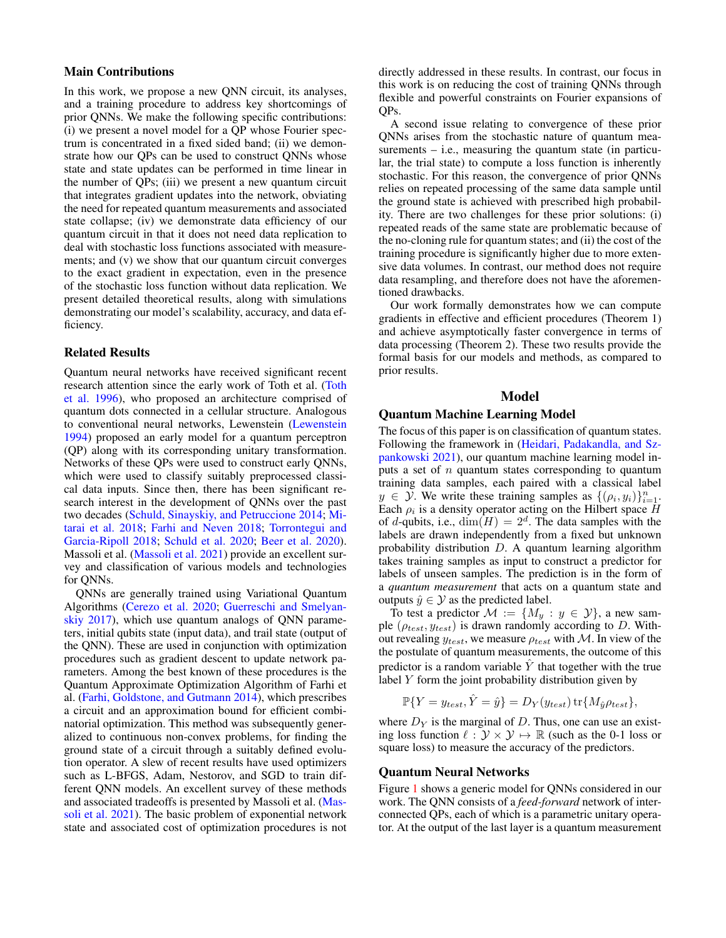### Main Contributions

In this work, we propose a new QNN circuit, its analyses, and a training procedure to address key shortcomings of prior QNNs. We make the following specific contributions: (i) we present a novel model for a QP whose Fourier spectrum is concentrated in a fixed sided band; (ii) we demonstrate how our QPs can be used to construct QNNs whose state and state updates can be performed in time linear in the number of QPs; (iii) we present a new quantum circuit that integrates gradient updates into the network, obviating the need for repeated quantum measurements and associated state collapse; (iv) we demonstrate data efficiency of our quantum circuit in that it does not need data replication to deal with stochastic loss functions associated with measurements; and (v) we show that our quantum circuit converges to the exact gradient in expectation, even in the presence of the stochastic loss function without data replication. We present detailed theoretical results, along with simulations demonstrating our model's scalability, accuracy, and data efficiency.

#### Related Results

Quantum neural networks have received significant recent research attention since the early work of Toth et al. [\(Toth](#page-7-12) [et al.](#page-7-12) [1996\)](#page-7-12), who proposed an architecture comprised of quantum dots connected in a cellular structure. Analogous to conventional neural networks, Lewenstein [\(Lewenstein](#page-7-4) [1994\)](#page-7-4) proposed an early model for a quantum perceptron (QP) along with its corresponding unitary transformation. Networks of these QPs were used to construct early QNNs, which were used to classify suitably preprocessed classical data inputs. Since then, there has been significant research interest in the development of QNNs over the past two decades [\(Schuld, Sinayskiy, and Petruccione](#page-7-13) [2014;](#page-7-13) [Mi](#page-7-0)[tarai et al.](#page-7-0) [2018;](#page-7-0) [Farhi and Neven](#page-7-1) [2018;](#page-7-1) [Torrontegui and](#page-7-14) [Garcia-Ripoll](#page-7-14) [2018;](#page-7-14) [Schuld et al.](#page-7-2) [2020;](#page-7-2) [Beer et al.](#page-7-3) [2020\)](#page-7-3). Massoli et al. [\(Massoli et al.](#page-7-15) [2021\)](#page-7-15) provide an excellent survey and classification of various models and technologies for QNNs.

QNNs are generally trained using Variational Quantum Algorithms [\(Cerezo et al.](#page-7-16) [2020;](#page-7-16) [Guerreschi and Smelyan](#page-7-17)[skiy](#page-7-17) [2017\)](#page-7-17), which use quantum analogs of QNN parameters, initial qubits state (input data), and trail state (output of the QNN). These are used in conjunction with optimization procedures such as gradient descent to update network parameters. Among the best known of these procedures is the Quantum Approximate Optimization Algorithm of Farhi et al. [\(Farhi, Goldstone, and Gutmann](#page-7-18) [2014\)](#page-7-18), which prescribes a circuit and an approximation bound for efficient combinatorial optimization. This method was subsequently generalized to continuous non-convex problems, for finding the ground state of a circuit through a suitably defined evolution operator. A slew of recent results have used optimizers such as L-BFGS, Adam, Nestorov, and SGD to train different QNN models. An excellent survey of these methods and associated tradeoffs is presented by Massoli et al. [\(Mas](#page-7-15)[soli et al.](#page-7-15) [2021\)](#page-7-15). The basic problem of exponential network state and associated cost of optimization procedures is not

directly addressed in these results. In contrast, our focus in this work is on reducing the cost of training QNNs through flexible and powerful constraints on Fourier expansions of QPs.

A second issue relating to convergence of these prior QNNs arises from the stochastic nature of quantum measurements  $-$  i.e., measuring the quantum state (in particular, the trial state) to compute a loss function is inherently stochastic. For this reason, the convergence of prior QNNs relies on repeated processing of the same data sample until the ground state is achieved with prescribed high probability. There are two challenges for these prior solutions: (i) repeated reads of the same state are problematic because of the no-cloning rule for quantum states; and (ii) the cost of the training procedure is significantly higher due to more extensive data volumes. In contrast, our method does not require data resampling, and therefore does not have the aforementioned drawbacks.

Our work formally demonstrates how we can compute gradients in effective and efficient procedures (Theorem 1) and achieve asymptotically faster convergence in terms of data processing (Theorem 2). These two results provide the formal basis for our models and methods, as compared to prior results.

### Model

### Quantum Machine Learning Model

The focus of this paper is on classification of quantum states. Following the framework in [\(Heidari, Padakandla, and Sz](#page-7-19)[pankowski](#page-7-19) [2021\)](#page-7-19), our quantum machine learning model inputs a set of  $n$  quantum states corresponding to quantum training data samples, each paired with a classical label  $y \in \mathcal{Y}$ . We write these training samples as  $\{(\rho_i, y_i)\}_{i=1}^n$ . Each  $\rho_i$  is a density operator acting on the Hilbert space H of d-qubits, i.e.,  $\dim(H) = 2^d$ . The data samples with the labels are drawn independently from a fixed but unknown probability distribution D. A quantum learning algorithm takes training samples as input to construct a predictor for labels of unseen samples. The prediction is in the form of a *quantum measurement* that acts on a quantum state and outputs  $\hat{y} \in \mathcal{Y}$  as the predicted label.

To test a predictor  $\mathcal{M} := \{M_y : y \in \mathcal{Y}\}\)$ , a new sample ( $\rho_{test}$ ,  $y_{test}$ ) is drawn randomly according to D. Without revealing  $y_{test}$ , we measure  $\rho_{test}$  with M. In view of the the postulate of quantum measurements, the outcome of this predictor is a random variable  $\hat{Y}$  that together with the true label  $Y$  form the joint probability distribution given by

$$
\mathbb{P}\{Y = y_{test}, \hat{Y} = \hat{y}\} = D_Y(y_{test}) \operatorname{tr}\{M_{\hat{y}}\rho_{test}\},\
$$

where  $D<sub>Y</sub>$  is the marginal of D. Thus, one can use an existing loss function  $\ell : \mathcal{Y} \times \mathcal{Y} \mapsto \mathbb{R}$  (such as the 0-1 loss or square loss) to measure the accuracy of the predictors.

### Quantum Neural Networks

Figure [1](#page-2-0) shows a generic model for QNNs considered in our work. The QNN consists of a *feed-forward* network of interconnected QPs, each of which is a parametric unitary operator. At the output of the last layer is a quantum measurement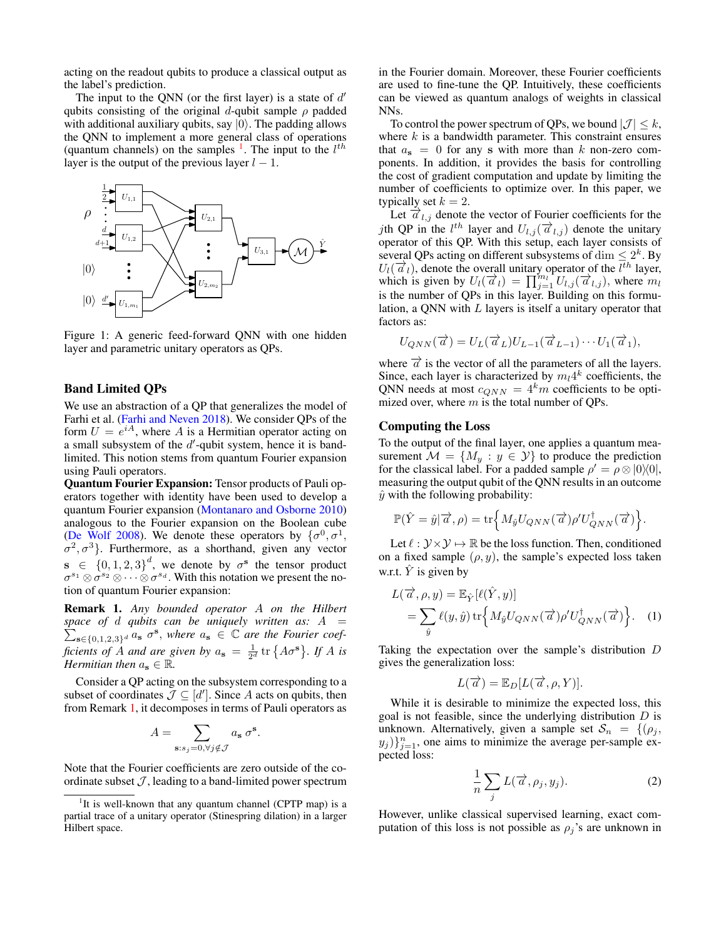acting on the readout qubits to produce a classical output as the label's prediction.

The input to the QNN (or the first layer) is a state of  $d'$ qubits consisting of the original d-qubit sample  $\rho$  padded with additional auxiliary qubits, say  $|0\rangle$ . The padding allows the QNN to implement a more general class of operations (quantum channels) on the samples  $\frac{1}{1}$  $\frac{1}{1}$  $\frac{1}{1}$ . The input to the  $l^{th}$ layer is the output of the previous layer  $l - 1$ .

<span id="page-2-0"></span>

Figure 1: A generic feed-forward QNN with one hidden layer and parametric unitary operators as QPs.

### Band Limited QPs

We use an abstraction of a QP that generalizes the model of Farhi et al. [\(Farhi and Neven](#page-7-1) [2018\)](#page-7-1). We consider QPs of the form  $U = e^{iA}$ , where A is a Hermitian operator acting on a small subsystem of the  $d'$ -qubit system, hence it is bandlimited. This notion stems from quantum Fourier expansion using Pauli operators.

Quantum Fourier Expansion: Tensor products of Pauli operators together with identity have been used to develop a quantum Fourier expansion [\(Montanaro and Osborne](#page-7-20) [2010\)](#page-7-20) analogous to the Fourier expansion on the Boolean cube [\(De Wolf](#page-7-21) [2008\)](#page-7-21). We denote these operators by  $\{\sigma^0, \sigma^1,$  $\sigma^2$ ,  $\sigma^3$ . Furthermore, as a shorthand, given any vector  $\mathbf{s} \in \{0, 1, 2, 3\}^d$ , we denote by  $\sigma^{\mathbf{s}}$  the tensor product  $\sigma^{s_1} \otimes \sigma^{s_2} \otimes \cdots \otimes \sigma^{s_d}$ . With this notation we present the notion of quantum Fourier expansion:

<span id="page-2-2"></span>Remark 1. *Any bounded operator* A *on the Hilbert* P *space of* d *qubits can be uniquely written as:* A =  $\sum_{s\in\{0,1,2,3\}^d} a_s \sigma^s$ , where  $a_s \in \mathbb{C}$  *are the Fourier coefficients of A and are given by*  $a_s = \frac{1}{2^d} \text{tr} \{ A \sigma^s \}$ . If A is *Hermitian then*  $a_s \in \mathbb{R}$ *.* 

Consider a QP acting on the subsystem corresponding to a subset of coordinates  $\mathcal{J} \subseteq [d']$ . Since A acts on qubits, then from Remark [1,](#page-2-2) it decomposes in terms of Pauli operators as

$$
A = \sum_{\mathbf{s}: s_j = 0, \forall j \notin \mathcal{J}} a_{\mathbf{s}} \sigma^{\mathbf{s}}.
$$

Note that the Fourier coefficients are zero outside of the coordinate subset  $J$ , leading to a band-limited power spectrum in the Fourier domain. Moreover, these Fourier coefficients are used to fine-tune the QP. Intuitively, these coefficients can be viewed as quantum analogs of weights in classical NNs.

To control the power spectrum of QPs, we bound  $|\mathcal{J}| \leq k$ , where  $k$  is a bandwidth parameter. This constraint ensures that  $a_s = 0$  for any s with more than k non-zero components. In addition, it provides the basis for controlling the cost of gradient computation and update by limiting the number of coefficients to optimize over. In this paper, we typically set  $k = 2$ .

Let  $\vec{a}_{l,j}$  denote the vector of Fourier coefficients for the jth QP in the  $l^{th}$  layer and  $U_{l,j}(\vec{a}_{l,j})$  denote the unitary operator of this QP. With this setup, each layer consists of several QPs acting on different subsystems of  $\dim \leq 2^k$ . By  $U_l(\vec{a}_l)$ , denote the overall unitary operator of the  $l^{th}$  layer, which is given by  $U_l(\vec{a}_l) = \prod_{j=1}^{m_l} U_{l,j}(\vec{a}_{l,j})$ , where  $m_l$ is the number of QPs in this layer. Building on this formulation, a QNN with L layers is itself a unitary operator that factors as:

$$
U_{QNN}(\overrightarrow{a})=U_L(\overrightarrow{a}_L)U_{L-1}(\overrightarrow{a}_{L-1})\cdots U_1(\overrightarrow{a}_1),
$$

where  $\vec{a}$  is the vector of all the parameters of all the layers. Since, each layer is characterized by  $m_l 4^k$  coefficients, the QNN needs at most  $c_{QNN} = 4<sup>k</sup>m$  coefficients to be optimized over, where  $m$  is the total number of QPs.

### Computing the Loss

To the output of the final layer, one applies a quantum measurement  $\mathcal{M} = \{M_y : y \in \mathcal{Y}\}\$  to produce the prediction for the classical label. For a padded sample  $\rho' = \rho \otimes |0\rangle\langle 0|$ , measuring the output qubit of the QNN results in an outcome  $\hat{y}$  with the following probability:

$$
\mathbb{P}(\hat{Y} = \hat{y}|\vec{\alpha}, \rho) = \text{tr}\Big\{M_{\hat{y}}U_{QNN}(\vec{\alpha})\rho'U_{QNN}^{\dagger}(\vec{\alpha})\Big\}.
$$

Let  $\ell : \mathcal{Y} \times \mathcal{Y} \mapsto \mathbb{R}$  be the loss function. Then, conditioned on a fixed sample  $(\rho, y)$ , the sample's expected loss taken w.r.t.  $\hat{Y}$  is given by

$$
L(\vec{\alpha}, \rho, y) = \mathbb{E}_{\hat{Y}}[\ell(\hat{Y}, y)]
$$
  
= 
$$
\sum_{\hat{y}} \ell(y, \hat{y}) \operatorname{tr} \left\{ M_{\hat{y}} U_{QNN}(\vec{\alpha}) \rho' U_{QNN}^{\dagger}(\vec{\alpha}) \right\}.
$$
 (1)

Taking the expectation over the sample's distribution D gives the generalization loss:

$$
L(\overrightarrow{a}) = \mathbb{E}_D[L(\overrightarrow{a}, \rho, Y)].
$$

While it is desirable to minimize the expected loss, this goal is not feasible, since the underlying distribution  $D$  is unknown. Alternatively, given a sample set  $S_n = \{(\rho_j,$  $(y_j)$  $_{j=1}^n$ , one aims to minimize the average per-sample expected loss:

<span id="page-2-3"></span>
$$
\frac{1}{n}\sum_{j}L(\vec{a},\rho_j,y_j). \tag{2}
$$

However, unlike classical supervised learning, exact computation of this loss is not possible as  $\rho_j$ 's are unknown in

<span id="page-2-1"></span><sup>&</sup>lt;sup>1</sup>It is well-known that any quantum channel (CPTP map) is a partial trace of a unitary operator (Stinespring dilation) in a larger Hilbert space.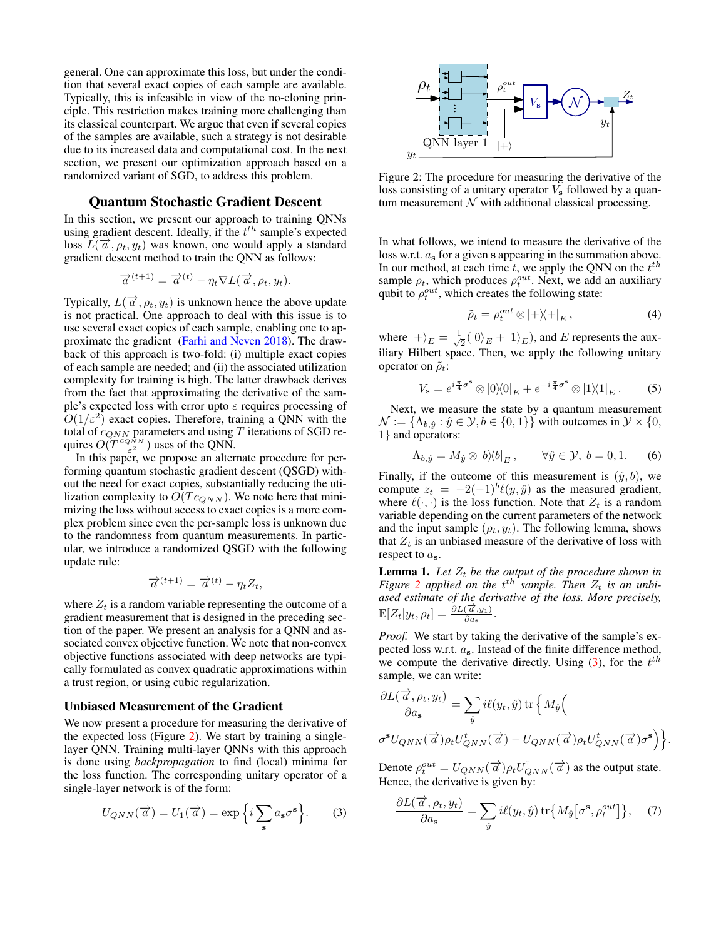general. One can approximate this loss, but under the condition that several exact copies of each sample are available. Typically, this is infeasible in view of the no-cloning principle. This restriction makes training more challenging than its classical counterpart. We argue that even if several copies of the samples are available, such a strategy is not desirable due to its increased data and computational cost. In the next section, we present our optimization approach based on a randomized variant of SGD, to address this problem.

#### Quantum Stochastic Gradient Descent

In this section, we present our approach to training QNNs using gradient descent. Ideally, if the  $t^{th}$  sample's expected loss  $L(\vec{a}, \rho_t, y_t)$  was known, one would apply a standard gradient descent method to train the QNN as follows:

$$
\overrightarrow{a}^{(t+1)} = \overrightarrow{a}^{(t)} - \eta_t \nabla L(\overrightarrow{a}, \rho_t, y_t).
$$

Typically,  $L(\vec{a}, \rho_t, y_t)$  is unknown hence the above update is not practical. One approach to deal with this issue is to use several exact copies of each sample, enabling one to approximate the gradient [\(Farhi and Neven](#page-7-1) [2018\)](#page-7-1). The drawback of this approach is two-fold: (i) multiple exact copies of each sample are needed; and (ii) the associated utilization complexity for training is high. The latter drawback derives from the fact that approximating the derivative of the sample's expected loss with error upto  $\varepsilon$  requires processing of  $O(1/\varepsilon^2)$  exact copies. Therefore, training a QNN with the total of  $c_{QNN}$  parameters and using T iterations of SGD requires  $O(T \frac{\dot{c}_{QNN}}{\varepsilon^2})$  uses of the QNN.

In this paper, we propose an alternate procedure for performing quantum stochastic gradient descent (QSGD) without the need for exact copies, substantially reducing the utilization complexity to  $O(Tc_{QNN})$ . We note here that minimizing the loss without access to exact copies is a more complex problem since even the per-sample loss is unknown due to the randomness from quantum measurements. In particular, we introduce a randomized QSGD with the following update rule:

$$
\overrightarrow{a}^{(t+1)} = \overrightarrow{a}^{(t)} - \eta_t Z_t,
$$

where  $Z_t$  is a random variable representing the outcome of a gradient measurement that is designed in the preceding section of the paper. We present an analysis for a QNN and associated convex objective function. We note that non-convex objective functions associated with deep networks are typically formulated as convex quadratic approximations within a trust region, or using cubic regularization.

#### Unbiased Measurement of the Gradient

We now present a procedure for measuring the derivative of the expected loss (Figure [2\)](#page-3-0). We start by training a singlelayer QNN. Training multi-layer QNNs with this approach is done using *backpropagation* to find (local) minima for the loss function. The corresponding unitary operator of a single-layer network is of the form:

$$
U_{QNN}(\vec{\alpha}) = U_1(\vec{\alpha}) = \exp\left\{i \sum_{\mathbf{s}} a_{\mathbf{s}} \sigma^{\mathbf{s}}\right\}.
$$
 (3)

<span id="page-3-0"></span>

Figure 2: The procedure for measuring the derivative of the loss consisting of a unitary operator  $V_s$  followed by a quantum measurement  $N$  with additional classical processing.

In what follows, we intend to measure the derivative of the loss w.r.t.  $a_s$  for a given s appearing in the summation above. In our method, at each time  $t$ , we apply the QNN on the  $t^{th}$ sample  $\rho_t$ , which produces  $\rho_t^{out}$ . Next, we add an auxiliary qubit to  $\rho_t^{out}$ , which creates the following state:

<span id="page-3-5"></span><span id="page-3-3"></span><span id="page-3-2"></span>
$$
\tilde{\rho}_t = \rho_t^{out} \otimes |+\rangle\!\langle+|_E, \tag{4}
$$

where  $\ket{+}_E = \frac{1}{\sqrt{2}}$  $\frac{1}{2}(|0\rangle_E + |1\rangle_E)$ , and E represents the auxiliary Hilbert space. Then, we apply the following unitary operator on  $\tilde{\rho}_t$ :

$$
V_{\mathbf{s}} = e^{i\frac{\pi}{4}\sigma^{\mathbf{s}}} \otimes |0\rangle\langle 0|_{E} + e^{-i\frac{\pi}{4}\sigma^{\mathbf{s}}} \otimes |1\rangle\langle 1|_{E}. \tag{5}
$$

Next, we measure the state by a quantum measurement  $\mathcal{N} := {\Lambda_{b,\hat{y}} : \hat{y} \in \mathcal{Y}, b \in \{0,1\}}$  with outcomes in  $\mathcal{Y} \times \{0,1\}$ 1} and operators:

$$
\Lambda_{b,\hat{y}} = M_{\hat{y}} \otimes |b\rangle\langle b|_E, \qquad \forall \hat{y} \in \mathcal{Y}, \ b = 0, 1. \tag{6}
$$

Finally, if the outcome of this measurement is  $(\hat{y}, b)$ , we compute  $z_t = -2(-1)^b \ell(y, \hat{y})$  as the measured gradient, where  $\ell(\cdot, \cdot)$  is the loss function. Note that  $Z_t$  is a random variable depending on the current parameters of the network and the input sample  $(\rho_t, y_t)$ . The following lemma, shows that  $Z_t$  is an unbiased measure of the derivative of loss with respect to  $a_{s}$ .

<span id="page-3-4"></span>**Lemma 1.** Let  $Z_t$  be the output of the procedure shown in *Figure* [2](#page-3-0) applied on the  $t^{th}$  sample. Then  $Z_t$  is an unbi*ased estimate of the derivative of the loss. More precisely,*  $\mathbb{E}[Z_t|y_t, \rho_t] = \frac{\partial L(\vec{\alpha}, y_1)}{\partial a_{\mathbf{s}}}.$ 

*Proof.* We start by taking the derivative of the sample's expected loss w.r.t.  $a_s$ . Instead of the finite difference method, we compute the derivative directly. Using  $(3)$ , for the  $t<sup>th</sup>$ sample, we can write:

$$
\frac{\partial L(\overrightarrow{a}, \rho_t, y_t)}{\partial a_{s}} = \sum_{\hat{y}} i \ell(y_t, \hat{y}) \operatorname{tr} \left\{ M_{\hat{y}} \left( \sigma^{s} U_{QNN}(\overrightarrow{a}) \rho_t U_{QNN}^t(\overrightarrow{a}) - U_{QNN}(\overrightarrow{a}) \rho_t U_{QNN}^t(\overrightarrow{a}) \sigma^{s} \right) \right\}.
$$

<span id="page-3-1"></span>Denote  $\rho_t^{out} = U_{QNN}(\overrightarrow{a}) \rho_t U_{QNN}^{\dagger}(\overrightarrow{a})$  as the output state. Hence, the derivative is given by:

<span id="page-3-6"></span>
$$
\frac{\partial L(\vec{a}, \rho_t, y_t)}{\partial a_s} = \sum_{\hat{y}} i\ell(y_t, \hat{y}) \operatorname{tr} \{ M_{\hat{y}} \big[ \sigma^s, \rho_t^{out} \big] \}, \quad (7)
$$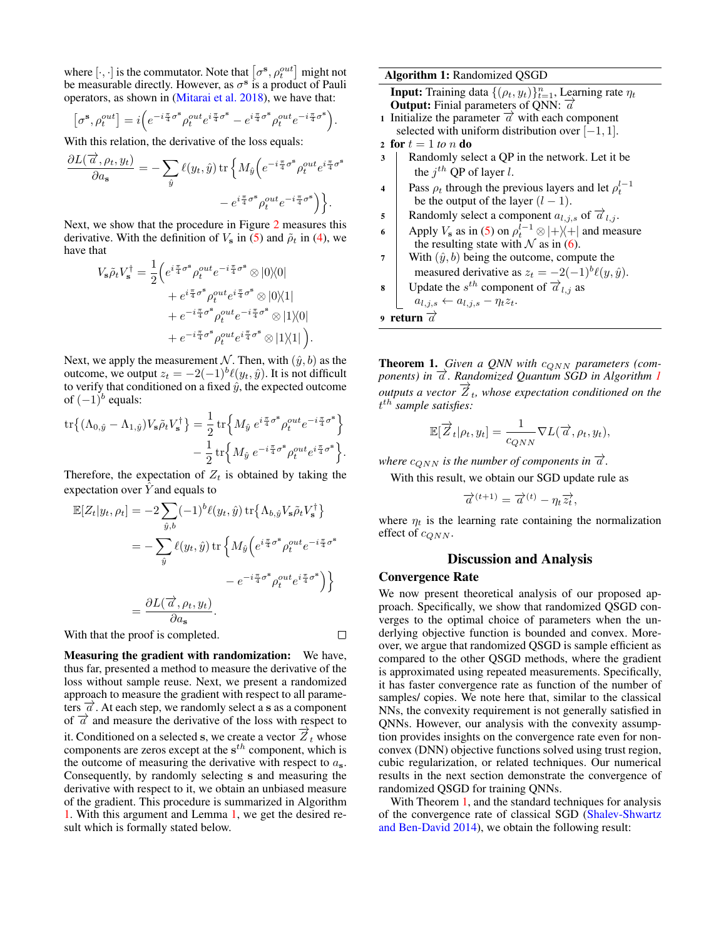where  $[\cdot, \cdot]$  is the commutator. Note that  $\left[ \sigma^{\bf s} , \rho_t^{out} \right]$  might not be measurable directly. However, as  $\sigma^s$  is a product of Pauli operators, as shown in [\(Mitarai et al.](#page-7-0) [2018\)](#page-7-0), we have that:

$$
\left[\sigma^{\mathbf{s}},\rho_t^{out}\right] = i\Big(e^{-i\frac{\pi}{4}\sigma^{\mathbf{s}}}\rho_t^{out}e^{i\frac{\pi}{4}\sigma^{\mathbf{s}}}-e^{i\frac{\pi}{4}\sigma^{\mathbf{s}}}\rho_t^{out}e^{-i\frac{\pi}{4}\sigma^{\mathbf{s}}}\Big).
$$

With this relation, the derivative of the loss equals:

$$
\begin{split} \frac{\partial L(\overrightarrow{a},\rho_t,y_t)}{\partial a_{\bf s}}=-\sum_{\hat{y}}\ell(y_t,\hat{y})\,\mathrm{tr}\,\Big\{M_{\hat{y}}&\Big(e^{-i\frac{\pi}{4}\sigma^{\bf s}}\rho_t^{out}e^{i\frac{\pi}{4}\sigma^{\bf s}}\\ &-e^{i\frac{\pi}{4}\sigma^{\bf s}}\rho_t^{out}e^{-i\frac{\pi}{4}\sigma^{\bf s}}\Big)\Big\}. \end{split}
$$

Next, we show that the procedure in Figure [2](#page-3-0) measures this derivative. With the definition of  $V_s$  in [\(5\)](#page-3-2) and  $\tilde{\rho}_t$  in [\(4\)](#page-3-3), we have that

$$
V_{\mathbf{s}}\tilde{\rho}_t V_{\mathbf{s}}^{\dagger} = \frac{1}{2} \Big( e^{i\frac{\pi}{4}\sigma^{\mathbf{s}}} \rho_t^{out} e^{-i\frac{\pi}{4}\sigma^{\mathbf{s}}} \otimes |0\rangle\langle 0|
$$
  
 
$$
+ e^{i\frac{\pi}{4}\sigma^{\mathbf{s}}} \rho_t^{out} e^{i\frac{\pi}{4}\sigma^{\mathbf{s}}} \otimes |0\rangle\langle 1|
$$
  
 
$$
+ e^{-i\frac{\pi}{4}\sigma^{\mathbf{s}}} \rho_t^{out} e^{-i\frac{\pi}{4}\sigma^{\mathbf{s}}} \otimes |1\rangle\langle 0|
$$
  
 
$$
+ e^{-i\frac{\pi}{4}\sigma^{\mathbf{s}}} \rho_t^{out} e^{i\frac{\pi}{4}\sigma^{\mathbf{s}}} \otimes |1\rangle\langle 1| \Big).
$$

Next, we apply the measurement N. Then, with  $(\hat{y}, b)$  as the outcome, we output  $z_t = -2(-1)^b \ell(y_t, \hat{y})$ . It is not difficult to verify that conditioned on a fixed  $\hat{y}$ , the expected outcome of  $(-1)^b$  equals:

$$
\begin{split} \mathrm{tr}\big\{(\Lambda_{0,\hat{y}}-\Lambda_{1,\hat{y}}) V_{\mathbf{s}} \tilde{\rho}_t V_{\mathbf{s}}^\dagger\big\} &= \frac{1}{2} \,\mathrm{tr}\Big\{ M_{\hat{y}}\; e^{i\frac{\pi}{4}\sigma^{\mathbf{s}}} \rho_t^{out} e^{-i\frac{\pi}{4}\sigma^{\mathbf{s}}}\Big\} \\ &\quad - \frac{1}{2} \,\mathrm{tr}\Big\{ M_{\hat{y}}\; e^{-i\frac{\pi}{4}\sigma^{\mathbf{s}}} \rho_t^{out} e^{i\frac{\pi}{4}\sigma^{\mathbf{s}}}\Big\}. \end{split}
$$

Therefore, the expectation of  $Z_t$  is obtained by taking the expectation over  $Y$  and equals to

$$
\mathbb{E}[Z_t|y_t, \rho_t] = -2 \sum_{\hat{y},b} (-1)^b \ell(y_t, \hat{y}) \operatorname{tr} \{ \Lambda_{b,\hat{y}} V_s \tilde{\rho}_t V_s^{\dagger} \}
$$
  

$$
= -\sum_{\hat{y}} \ell(y_t, \hat{y}) \operatorname{tr} \{ M_{\hat{y}} \left( e^{i \frac{\pi}{4} \sigma^s} \rho_t^{out} e^{-i \frac{\pi}{4} \sigma^s} \right. \}
$$
  

$$
- e^{-i \frac{\pi}{4} \sigma^s} \rho_t^{out} e^{i \frac{\pi}{4} \sigma^s} \}
$$
  

$$
= \frac{\partial L(\vec{a}, \rho_t, y_t)}{\partial a_s}.
$$

With that the proof is completed.

Measuring the gradient with randomization: We have, thus far, presented a method to measure the derivative of the loss without sample reuse. Next, we present a randomized approach to measure the gradient with respect to all parameters  $\vec{a}$ . At each step, we randomly select a s as a component of  $\vec{a}$  and measure the derivative of the loss with respect to it. Conditioned on a selected s, we create a vector  $\overrightarrow{Z}_t$  whose components are zeros except at the  $s^{th}$  component, which is the outcome of measuring the derivative with respect to  $a_s$ . Consequently, by randomly selecting s and measuring the derivative with respect to it, we obtain an unbiased measure of the gradient. This procedure is summarized in Algorithm [1.](#page-4-0) With this argument and Lemma [1,](#page-3-4) we get the desired result which is formally stated below.

Algorithm 1: Randomized QSGD

<span id="page-4-0"></span>**Input:** Training data  $\{(\rho_t, y_t)\}_{t=1}^n$ , Learning rate  $\eta_t$ **Output:** Finial parameters of QNN:  $\vec{a}$ 

- 1 Initialize the parameter  $\vec{a}$  with each component selected with uniform distribution over  $[-1, 1]$ . 2 for  $t = 1$  *to n* **do**
- 
- 3 | Randomly select a QP in the network. Let it be the  $j^{th}$  QP of layer l.
- 4 Pass  $\rho_t$  through the previous layers and let  $\rho_t^{l-1}$ be the output of the layer  $(l - 1)$ .
- 5 Randomly select a component  $a_{l,j,s}$  of  $\overrightarrow{a}_{l,j}$ .
- 6 Apply  $V_s$  as in [\(5\)](#page-3-2) on  $\rho_t^{l-1} \otimes |+\rangle\langle+|$  and measure the resulting state with  $\mathcal N$  as in [\(6\)](#page-3-5).
- 7 With  $(\hat{y}, b)$  being the outcome, compute the measured derivative as  $z_t = -2(-1)^b \ell(y, \hat{y})$ .

**8** Update the 
$$
s^{th}
$$
 component of  $\overrightarrow{a}_{l,j}$  as  $a_{l,j,s} \leftarrow a_{l,j,s} - \eta_t z_t$ .

9 return  $\overrightarrow{a}$ 

<span id="page-4-1"></span>Theorem 1. Given a QNN with  $c_{QNN}$  parameters (com*ponents) in*  $\vec{a}$ . Randomized Quantum SGD in Algorithm [1](#page-4-0)  $\overline{z}$  *outputs a vector*  $\overline{Z}_t$ *, whose expectation conditioned on the* t th *sample satisfies:*

$$
\mathbb{E}[\overrightarrow{Z}_t|\rho_t, y_t] = \frac{1}{c_{QNN}} \nabla L(\overrightarrow{a}, \rho_t, y_t),
$$

*where*  $c_{QNN}$  *is the number of components in*  $\vec{a}$ *.* 

With this result, we obtain our SGD update rule as

$$
\overrightarrow{a}^{(t+1)} = \overrightarrow{a}^{(t)} - \eta_t \overrightarrow{z_t},
$$

where  $\eta_t$  is the learning rate containing the normalization effect of  $c_{QNN}$ .

### Discussion and Analysis

#### Convergence Rate

 $\Box$ 

We now present theoretical analysis of our proposed approach. Specifically, we show that randomized QSGD converges to the optimal choice of parameters when the underlying objective function is bounded and convex. Moreover, we argue that randomized QSGD is sample efficient as compared to the other QSGD methods, where the gradient is approximated using repeated measurements. Specifically, it has faster convergence rate as function of the number of samples/ copies. We note here that, similar to the classical NNs, the convexity requirement is not generally satisfied in QNNs. However, our analysis with the convexity assumption provides insights on the convergence rate even for nonconvex (DNN) objective functions solved using trust region, cubic regularization, or related techniques. Our numerical results in the next section demonstrate the convergence of randomized QSGD for training QNNs.

With Theorem [1,](#page-4-1) and the standard techniques for analysis of the convergence rate of classical SGD [\(Shalev-Shwartz](#page-7-22) [and Ben-David](#page-7-22) [2014\)](#page-7-22), we obtain the following result: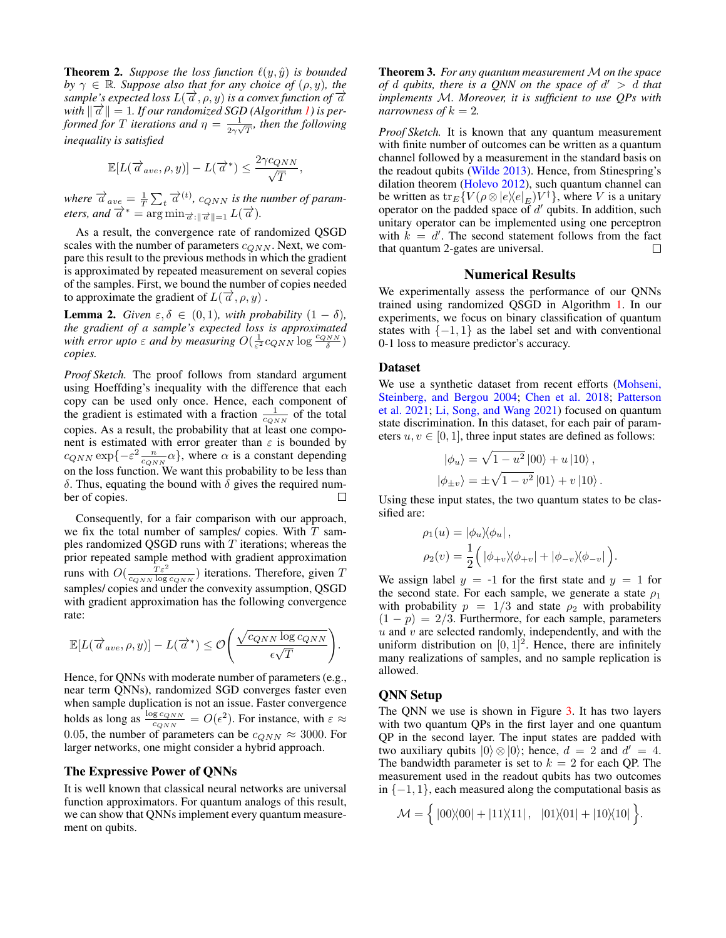**Theorem 2.** *Suppose the loss function*  $\ell(y, \hat{y})$  *is bounded by*  $\gamma \in \mathbb{R}$ *. Suppose also that for any choice of*  $(\rho, y)$ *, the*  $\sup_{y \in \mathbb{R}} \sup_{z \in \mathbb{R}} \mathbb{E}[z \cdot \frac{d}{dz}, \rho, y]$  *is a convex function of*  $\overrightarrow{a}$  $\lim_{x \to a} \frac{1}{a}$  = 1*. If our randomized SGD (Algorithm [1\)](#page-4-0) is performed for* T *iterations and*  $\eta = \frac{1}{2m}$  $\frac{1}{2\gamma\sqrt{T}}$ , then the following *inequality is satisfied*

$$
\mathbb{E}[L(\overrightarrow{a}_{ave}, \rho, y)] - L(\overrightarrow{a}^*) \le \frac{2\gamma c_{QNN}}{\sqrt{T}},
$$

*where*  $\overrightarrow{a}_{ave} = \frac{1}{T} \sum_{t} \overrightarrow{a}^{(t)}$ ,  $c_{QNN}$  *is the number of param-eters, and*  $\overrightarrow{a}^{*} = \arg \min_{\overrightarrow{a} : \|\overrightarrow{a}\| = 1} L(\overrightarrow{a})$ .

As a result, the convergence rate of randomized QSGD scales with the number of parameters  $c_{QNN}$ . Next, we compare this result to the previous methods in which the gradient is approximated by repeated measurement on several copies of the samples. First, we bound the number of copies needed to approximate the gradient of  $L(\vec{a}, \rho, y)$ .

**Lemma 2.** *Given*  $\varepsilon, \delta \in (0, 1)$ *, with probability*  $(1 - \delta)$ *, the gradient of a sample's expected loss is approximated* with error upto  $\varepsilon$  and by measuring  $O(\frac{1}{\varepsilon^2}c_{QNN}\log\frac{c_{QNN}}{\delta})$ *copies.*

*Proof Sketch.* The proof follows from standard argument using Hoeffding's inequality with the difference that each copy can be used only once. Hence, each component of the gradient is estimated with a fraction  $\frac{1}{c_{QNN}}$  of the total copies. As a result, the probability that at least one component is estimated with error greater than  $\varepsilon$  is bounded by  $c_{QNN} \exp\{-\varepsilon^2 \frac{n}{c_{QNN}} \alpha\}$ , where  $\alpha$  is a constant depending on the loss function. We want this probability to be less than δ. Thus, equating the bound with δ gives the required number of copies.  $\Box$ 

Consequently, for a fair comparison with our approach, we fix the total number of samples/ copies. With  $T$  samples randomized QSGD runs with  $T$  iterations; whereas the prior repeated sample method with gradient approximation runs with  $O(\frac{T \varepsilon^2}{c_{QNN} \log c_{QNN}})$  iterations. Therefore, given T samples/ copies and under the convexity assumption, QSGD with gradient approximation has the following convergence rate:

$$
\mathbb{E}[L(\overrightarrow{a}_{ave}, \rho, y)] - L(\overrightarrow{a}^*) \leq \mathcal{O}\left(\frac{\sqrt{c_{QNN}\log c_{QNN}}}{\epsilon\sqrt{T}}\right).
$$

Hence, for QNNs with moderate number of parameters (e.g., near term QNNs), randomized SGD converges faster even when sample duplication is not an issue. Faster convergence holds as long as  $\frac{\log c_{QNN}}{c_{QNN}} = O(\epsilon^2)$ . For instance, with  $\varepsilon \approx$ 0.05, the number of parameters can be  $c_{QNN} \approx 3000$ . For larger networks, one might consider a hybrid approach.

### The Expressive Power of QNNs

It is well known that classical neural networks are universal function approximators. For quantum analogs of this result, we can show that QNNs implement every quantum measurement on qubits.

**Theorem 3.** For any quantum measurement M on the space *of* d *qubits, there is a QNN on the space of* d <sup>0</sup> > d *that implements* M*. Moreover, it is sufficient to use QPs with narrowness of*  $k = 2$ .

*Proof Sketch.* It is known that any quantum measurement with finite number of outcomes can be written as a quantum channel followed by a measurement in the standard basis on the readout qubits [\(Wilde](#page-7-23) [2013\)](#page-7-23). Hence, from Stinespring's dilation theorem [\(Holevo](#page-7-24) [2012\)](#page-7-24), such quantum channel can be written as  $\text{tr}_E\{V(\rho \otimes |e\rangle\langle e|_E)V^{\dagger}\},$  where V is a unitary operator on the padded space of  $d'$  qubits. In addition, such unitary operator can be implemented using one perceptron with  $k = d'$ . The second statement follows from the fact that quantum 2-gates are universal.  $\Box$ 

#### Numerical Results

We experimentally assess the performance of our QNNs trained using randomized QSGD in Algorithm [1.](#page-4-0) In our experiments, we focus on binary classification of quantum states with  $\{-1, 1\}$  as the label set and with conventional 0-1 loss to measure predictor's accuracy.

#### Dataset

We use a synthetic dataset from recent efforts [\(Mohseni,](#page-7-25) [Steinberg, and Bergou](#page-7-25) [2004;](#page-7-25) [Chen et al.](#page-7-6) [2018;](#page-7-6) [Patterson](#page-7-26) [et al.](#page-7-26) [2021;](#page-7-26) [Li, Song, and Wang](#page-7-27) [2021\)](#page-7-27) focused on quantum state discrimination. In this dataset, for each pair of parameters  $u, v \in [0, 1]$ , three input states are defined as follows:

$$
|\phi_u\rangle = \sqrt{1 - u^2} |00\rangle + u |10\rangle ,
$$
  

$$
|\phi_{\pm v}\rangle = \pm \sqrt{1 - v^2} |01\rangle + v |10\rangle .
$$

Using these input states, the two quantum states to be classified are:

$$
\rho_1(u) = |\phi_u \rangle \langle \phi_u | ,
$$
  

$$
\rho_2(v) = \frac{1}{2} (|\phi_{+v} \rangle \langle \phi_{+v}| + |\phi_{-v} \rangle \langle \phi_{-v}| ).
$$

We assign label  $y = -1$  for the first state and  $y = 1$  for the second state. For each sample, we generate a state  $\rho_1$ with probability  $p = 1/3$  and state  $\rho_2$  with probability  $(1 - p) = 2/3$ . Furthermore, for each sample, parameters  $u$  and  $v$  are selected randomly, independently, and with the uniform distribution on  $[0, 1]^2$ . Hence, there are infinitely many realizations of samples, and no sample replication is allowed.

### QNN Setup

The QNN we use is shown in Figure [3.](#page-6-0) It has two layers with two quantum QPs in the first layer and one quantum QP in the second layer. The input states are padded with two auxiliary qubits  $|0\rangle \otimes |0\rangle$ ; hence,  $d = 2$  and  $d' = 4$ . The bandwidth parameter is set to  $k = 2$  for each QP. The measurement used in the readout qubits has two outcomes in  $\{-1, 1\}$ , each measured along the computational basis as

$$
\mathcal{M} = \left\{ \left| 00 \rangle\!\langle 00 \right| + \left| 11 \rangle\!\langle 11 \right|, \ \left| 01 \rangle\!\langle 01 \right| + \left| 10 \rangle\!\langle 10 \right| \right\}.
$$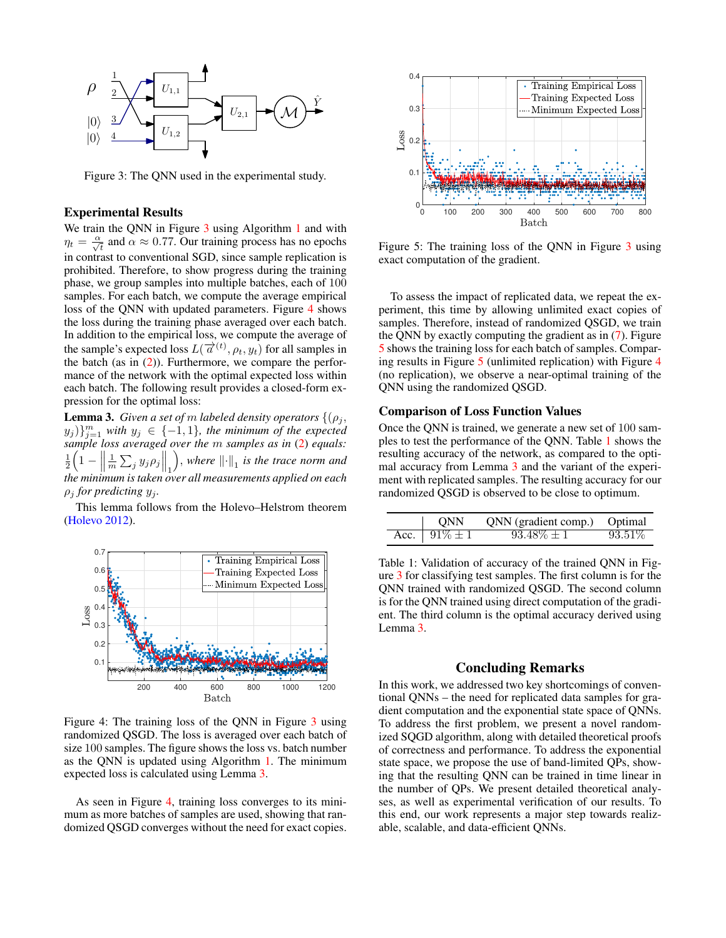<span id="page-6-0"></span>

Figure 3: The QNN used in the experimental study.

#### Experimental Results

We train the QNN in Figure [3](#page-6-0) using Algorithm [1](#page-4-0) and with  $\eta_t = \frac{\alpha}{\sqrt{t}}$  and  $\alpha \approx 0.77$ . Our training process has no epochs in contrast to conventional SGD, since sample replication is prohibited. Therefore, to show progress during the training phase, we group samples into multiple batches, each of 100 samples. For each batch, we compute the average empirical loss of the QNN with updated parameters. Figure [4](#page-6-1) shows the loss during the training phase averaged over each batch. In addition to the empirical loss, we compute the average of the sample's expected loss  $L(\vec{a}^{(t)}, \rho_t, y_t)$  for all samples in the batch (as in  $(2)$ ). Furthermore, we compare the performance of the network with the optimal expected loss within each batch. The following result provides a closed-form expression for the optimal loss:

<span id="page-6-2"></span>**Lemma 3.** *Given a set of m labeled density operators*  $\{(\rho_i, \rho_j)\}$  $(y_j) \}_{j=1}^m$  with  $y_j \in \{-1,1\}$ , the minimum of the expected *sample loss averaged over the* m *samples as in* [\(2\)](#page-2-3) *equals:*  $\frac{1}{2}\left(1 - \frac{1}{2}\right)$  $\frac{1}{m} \sum_j y_j \rho_j \Big\|_1$  $\int$ , where  $\left\Vert \cdot\right\Vert _{1}$  is the trace norm and *the minimum is taken over all measurements applied on each*  $\rho_i$  *for predicting*  $y_i$ *.* 

This lemma follows from the Holevo–Helstrom theorem [\(Holevo](#page-7-24) [2012\)](#page-7-24).

<span id="page-6-1"></span>

Figure 4: The training loss of the QNN in Figure [3](#page-6-0) using randomized QSGD. The loss is averaged over each batch of size 100 samples. The figure shows the loss vs. batch number as the QNN is updated using Algorithm [1.](#page-4-0) The minimum expected loss is calculated using Lemma [3.](#page-6-2)

As seen in Figure [4,](#page-6-1) training loss converges to its minimum as more batches of samples are used, showing that randomized QSGD converges without the need for exact copies.

<span id="page-6-3"></span>

Figure 5: The training loss of the QNN in Figure [3](#page-6-0) using exact computation of the gradient.

To assess the impact of replicated data, we repeat the experiment, this time by allowing unlimited exact copies of samples. Therefore, instead of randomized QSGD, we train the QNN by exactly computing the gradient as in [\(7\)](#page-3-6). Figure [5](#page-6-3) shows the training loss for each batch of samples. Comparing results in Figure [5](#page-6-3) (unlimited replication) with Figure [4](#page-6-1) (no replication), we observe a near-optimal training of the QNN using the randomized QSGD.

#### Comparison of Loss Function Values

Once the QNN is trained, we generate a new set of 100 samples to test the performance of the QNN. Table [1](#page-6-4) shows the resulting accuracy of the network, as compared to the optimal accuracy from Lemma [3](#page-6-2) and the variant of the experiment with replicated samples. The resulting accuracy for our randomized QSGD is observed to be close to optimum.

<span id="page-6-4"></span>

| ONN               | QNN (gradient comp.) Optimal |           |
|-------------------|------------------------------|-----------|
| Acc. $91\% \pm 1$ | $93.48\% \pm 1$              | $93.51\%$ |

Table 1: Validation of accuracy of the trained QNN in Figure [3](#page-6-0) for classifying test samples. The first column is for the QNN trained with randomized QSGD. The second column is for the QNN trained using direct computation of the gradient. The third column is the optimal accuracy derived using Lemma [3.](#page-6-2)

### Concluding Remarks

In this work, we addressed two key shortcomings of conventional QNNs – the need for replicated data samples for gradient computation and the exponential state space of QNNs. To address the first problem, we present a novel randomized SQGD algorithm, along with detailed theoretical proofs of correctness and performance. To address the exponential state space, we propose the use of band-limited QPs, showing that the resulting QNN can be trained in time linear in the number of QPs. We present detailed theoretical analyses, as well as experimental verification of our results. To this end, our work represents a major step towards realizable, scalable, and data-efficient QNNs.